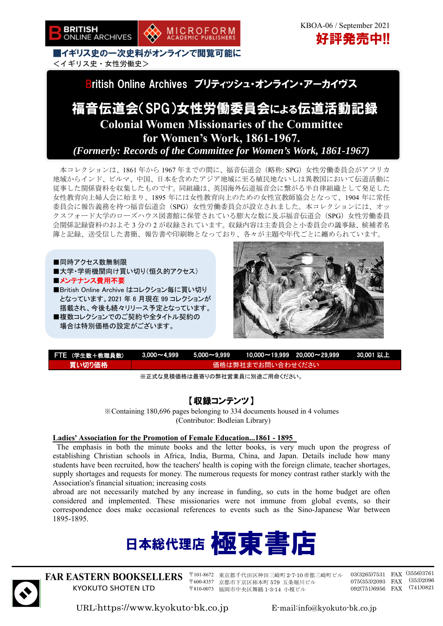

■イギリス史の一次史料がオンラインで閲覧可能に <イギリス史・女性労働史>



MICROFORM<br>ACADEMIC PUBLISHERS

# 福音伝道会(SPG)女性労働委員会による伝道活動記録 **Colonial Women Missionaries of the Committee for Women's Work, 1861-1967.**  *(Formerly: Records of the Committee for Women's Work, 1861-1967)*

本コレクションは、1861 年から 1967 年までの間に、福音伝道会(略称: SPG)女性労働委員会がアフリカ 地域からインド、ビルマ、中国、日本を含めたアジア地域に至る植民地ないしは異教国において伝道活動に 従事した関係資料を収集したものです。同組織は、英国海外伝道福音会に繋がる半自律組織として発足した 女性教育向上婦人会に始まり、1895 年には女性教育向上のための女性宣教師協会となって、1904 年に常任 委員会に報告義務を持つ福音伝道会(SPG)女性労働委員会が設立されました。本コレクションには、オッ クスフォード大学のローズハウス図書館に保管されている膨大な数に及ぶ福音伝道会(SPG)女性労働委員 会関係記録資料のおよそ 3 分の 2 が収録されています。収録内容は主委員会と小委員会の議事録、候補者名 簿と記録、送受信した書簡、報告書や印刷物となっており、各々が主題や年代ごとに纏められています。





| <b>[FTE (学生数+教職員数)]</b>                                                                          |                   |  |  | <u>\  3,000~4,999         5,000~9,999         10,000~19,999    20,000~29,999         30,001 以上1</u> |  |
|--------------------------------------------------------------------------------------------------|-------------------|--|--|-----------------------------------------------------------------------------------------------------|--|
| 買い切り価格                                                                                           | 価格は弊社までお問い合わせください |  |  |                                                                                                     |  |
| $\cdots$ . The second contract of the second contract $\cdots$ . The second contract of $\cdots$ |                   |  |  |                                                                                                     |  |

※正式な見積価格は最寄りの弊社営業員に別途ご用命ください。

## 【収録コンテンツ】

※Containing 180,696 pages belonging to 334 documents housed in 4 volumes (Contributor: Bodleian Library)

## **Ladies' Association for the Promotion of Female Education...1861 - 1895**

The emphasis in both the minute books and the letter books, is very much upon the progress of establishing Christian schools in Africa, India, Burma, China, and Japan. Details include how many students have been recruited, how the teachers' health is coping with the foreign climate, teacher shortages, supply shortages and requests for money. The numerous requests for money contrast rather starkly with the Association's financial situation; increasing costs

abroad are not necessarily matched by any increase in funding, so cuts in the home budget are often considered and implemented. These missionaries were not immune from global events, so their correspondence does make occasional references to events such as the Sino-Japanese War between 1895-1895.





**FAR EASTERN BOOKSELLERS**  KYOKUTO SHOTEN LTD

〒101-8672 東京都千代田区神田三崎町 2-7-10 帝都三崎町ビル 〒600-8357 京都市下京区柿本町 579 五条堀川ビル 〒810-0073 福岡市中央区舞鶴 1-3-14 小榎ビル

03(3265)7531 FAX (3556)3761 075(353)2093 FAX (353)2096 092(751)6956 FAX (741)0821

URL:https://www.kyokuto-bk.co.jp E-mail:info@kyokuto-bk.co.jp